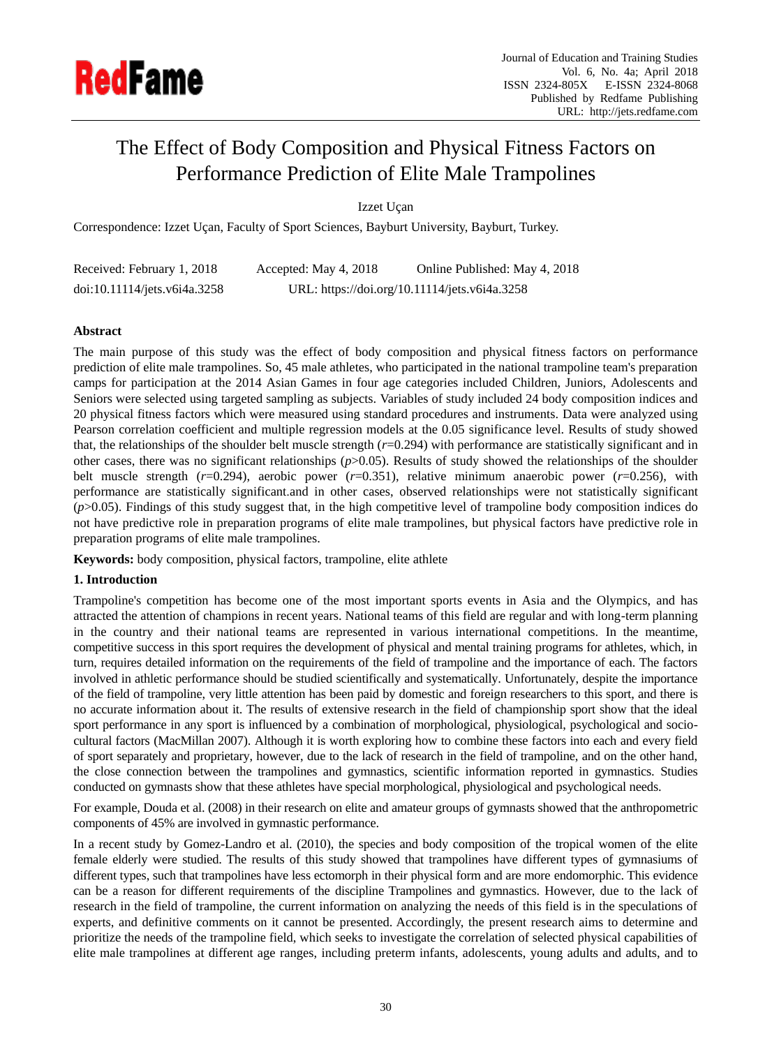

# The Effect of Body Composition and Physical Fitness Factors on Performance Prediction of Elite Male Trampolines

Izzet Uçan

Correspondence: Izzet U can, Faculty of Sport Sciences, Bayburt University, Bayburt, Turkey.

| Received: February 1, 2018   | Accepted: May 4, 2018 | Online Published: May 4, 2018                 |
|------------------------------|-----------------------|-----------------------------------------------|
| doi:10.11114/jets.v6i4a.3258 |                       | URL: https://doi.org/10.11114/jets.v6i4a.3258 |

# **Abstract**

The main purpose of this study was the effect of body composition and physical fitness factors on performance prediction of elite male trampolines. So, 45 male athletes, who participated in the national trampoline team's preparation camps for participation at the 2014 Asian Games in four age categories included Children, Juniors, Adolescents and Seniors were selected using targeted sampling as subjects. Variables of study included 24 body composition indices and 20 physical fitness factors which were measured using standard procedures and instruments. Data were analyzed using Pearson correlation coefficient and multiple regression models at the 0.05 significance level. Results of study showed that, the relationships of the shoulder belt muscle strength (*r*=0.294) with performance are statistically significant and in other cases, there was no significant relationships (*p*>0.05). Results of study showed the relationships of the shoulder belt muscle strength (*r*=0.294), aerobic power (*r*=0.351), relative minimum anaerobic power (*r*=0.256), with performance are statistically significant.and in other cases, observed relationships were not statistically significant (*p*>0.05). Findings of this study suggest that, in the high competitive level of trampoline body composition indices do not have predictive role in preparation programs of elite male trampolines, but physical factors have predictive role in preparation programs of elite male trampolines.

**Keywords:** body composition, physical factors, trampoline, elite athlete

## **1. Introduction**

Trampoline's competition has become one of the most important sports events in Asia and the Olympics, and has attracted the attention of champions in recent years. National teams of this field are regular and with long-term planning in the country and their national teams are represented in various international competitions. In the meantime, competitive success in this sport requires the development of physical and mental training programs for athletes, which, in turn, requires detailed information on the requirements of the field of trampoline and the importance of each. The factors involved in athletic performance should be studied scientifically and systematically. Unfortunately, despite the importance of the field of trampoline, very little attention has been paid by domestic and foreign researchers to this sport, and there is no accurate information about it. The results of extensive research in the field of championship sport show that the ideal sport performance in any sport is influenced by a combination of morphological, physiological, psychological and sociocultural factors (MacMillan 2007). Although it is worth exploring how to combine these factors into each and every field of sport separately and proprietary, however, due to the lack of research in the field of trampoline, and on the other hand, the close connection between the trampolines and gymnastics, scientific information reported in gymnastics. Studies conducted on gymnasts show that these athletes have special morphological, physiological and psychological needs.

For example, Douda et al. (2008) in their research on elite and amateur groups of gymnasts showed that the anthropometric components of 45% are involved in gymnastic performance.

In a recent study by Gomez-Landro et al. (2010), the species and body composition of the tropical women of the elite female elderly were studied. The results of this study showed that trampolines have different types of gymnasiums of different types, such that trampolines have less ectomorph in their physical form and are more endomorphic. This evidence can be a reason for different requirements of the discipline Trampolines and gymnastics. However, due to the lack of research in the field of trampoline, the current information on analyzing the needs of this field is in the speculations of experts, and definitive comments on it cannot be presented. Accordingly, the present research aims to determine and prioritize the needs of the trampoline field, which seeks to investigate the correlation of selected physical capabilities of elite male trampolines at different age ranges, including preterm infants, adolescents, young adults and adults, and to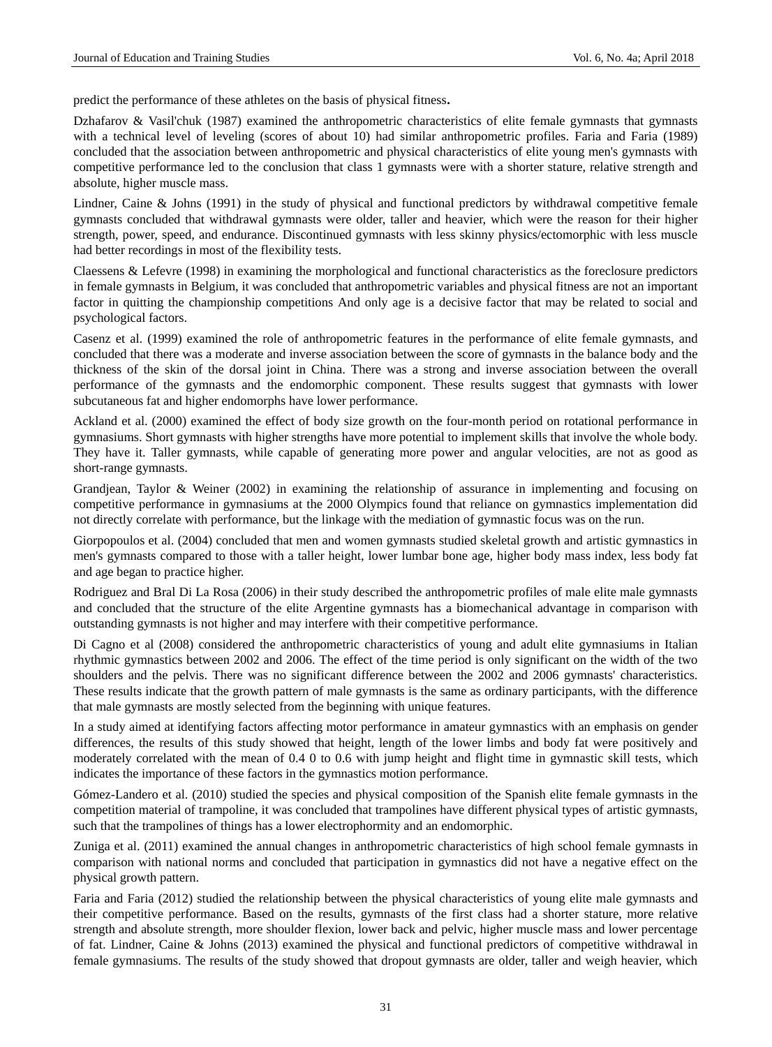predict the performance of these athletes on the basis of physical fitness**.**

Dzhafarov & Vasil'chuk (1987) examined the anthropometric characteristics of elite female gymnasts that gymnasts with a technical level of leveling (scores of about 10) had similar anthropometric profiles. Faria and Faria (1989) concluded that the association between anthropometric and physical characteristics of elite young men's gymnasts with competitive performance led to the conclusion that class 1 gymnasts were with a shorter stature, relative strength and absolute, higher muscle mass.

Lindner, Caine & Johns (1991) in the study of physical and functional predictors by withdrawal competitive female gymnasts concluded that withdrawal gymnasts were older, taller and heavier, which were the reason for their higher strength, power, speed, and endurance. Discontinued gymnasts with less skinny physics/ectomorphic with less muscle had better recordings in most of the flexibility tests.

Claessens & Lefevre (1998) in examining the morphological and functional characteristics as the foreclosure predictors in female gymnasts in Belgium, it was concluded that anthropometric variables and physical fitness are not an important factor in quitting the championship competitions And only age is a decisive factor that may be related to social and psychological factors.

Casenz et al. (1999) examined the role of anthropometric features in the performance of elite female gymnasts, and concluded that there was a moderate and inverse association between the score of gymnasts in the balance body and the thickness of the skin of the dorsal joint in China. There was a strong and inverse association between the overall performance of the gymnasts and the endomorphic component. These results suggest that gymnasts with lower subcutaneous fat and higher endomorphs have lower performance.

Ackland et al. (2000) examined the effect of body size growth on the four-month period on rotational performance in gymnasiums. Short gymnasts with higher strengths have more potential to implement skills that involve the whole body. They have it. Taller gymnasts, while capable of generating more power and angular velocities, are not as good as short-range gymnasts.

Grandjean, Taylor & Weiner (2002) in examining the relationship of assurance in implementing and focusing on competitive performance in gymnasiums at the 2000 Olympics found that reliance on gymnastics implementation did not directly correlate with performance, but the linkage with the mediation of gymnastic focus was on the run.

Giorpopoulos et al. (2004) concluded that men and women gymnasts studied skeletal growth and artistic gymnastics in men's gymnasts compared to those with a taller height, lower lumbar bone age, higher body mass index, less body fat and age began to practice higher.

Rodriguez and Bral Di La Rosa (2006) in their study described the anthropometric profiles of male elite male gymnasts and concluded that the structure of the elite Argentine gymnasts has a biomechanical advantage in comparison with outstanding gymnasts is not higher and may interfere with their competitive performance.

Di Cagno et al (2008) considered the anthropometric characteristics of young and adult elite gymnasiums in Italian rhythmic gymnastics between 2002 and 2006. The effect of the time period is only significant on the width of the two shoulders and the pelvis. There was no significant difference between the 2002 and 2006 gymnasts' characteristics. These results indicate that the growth pattern of male gymnasts is the same as ordinary participants, with the difference that male gymnasts are mostly selected from the beginning with unique features.

In a study aimed at identifying factors affecting motor performance in amateur gymnastics with an emphasis on gender differences, the results of this study showed that height, length of the lower limbs and body fat were positively and moderately correlated with the mean of 0.4 0 to 0.6 with jump height and flight time in gymnastic skill tests, which indicates the importance of these factors in the gymnastics motion performance.

Gómez-Landero et al. (2010) studied the species and physical composition of the Spanish elite female gymnasts in the competition material of trampoline, it was concluded that trampolines have different physical types of artistic gymnasts, such that the trampolines of things has a lower electrophormity and an endomorphic.

Zuniga et al. (2011) examined the annual changes in anthropometric characteristics of high school female gymnasts in comparison with national norms and concluded that participation in gymnastics did not have a negative effect on the physical growth pattern.

Faria and Faria (2012) studied the relationship between the physical characteristics of young elite male gymnasts and their competitive performance. Based on the results, gymnasts of the first class had a shorter stature, more relative strength and absolute strength, more shoulder flexion, lower back and pelvic, higher muscle mass and lower percentage of fat. Lindner, Caine & Johns (2013) examined the physical and functional predictors of competitive withdrawal in female gymnasiums. The results of the study showed that dropout gymnasts are older, taller and weigh heavier, which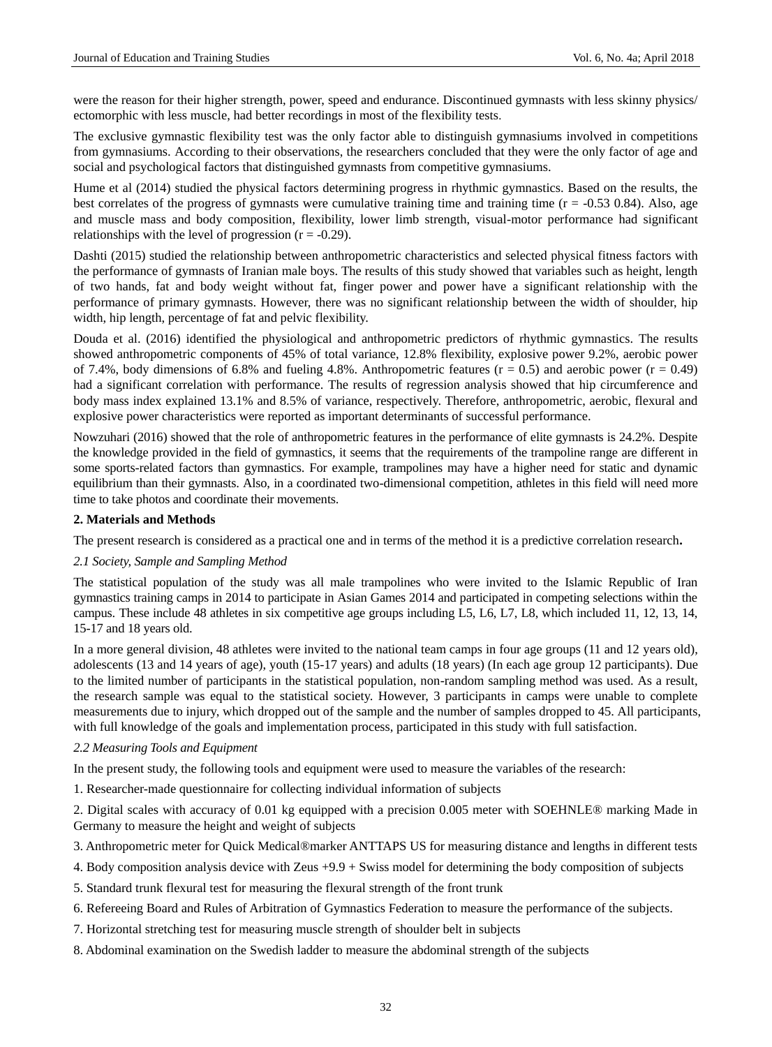were the reason for their higher strength, power, speed and endurance. Discontinued gymnasts with less skinny physics/ ectomorphic with less muscle, had better recordings in most of the flexibility tests.

The exclusive gymnastic flexibility test was the only factor able to distinguish gymnasiums involved in competitions from gymnasiums. According to their observations, the researchers concluded that they were the only factor of age and social and psychological factors that distinguished gymnasts from competitive gymnasiums.

Hume et al (2014) studied the physical factors determining progress in rhythmic gymnastics. Based on the results, the best correlates of the progress of gymnasts were cumulative training time and training time  $(r = -0.53 \, 0.84)$ . Also, age and muscle mass and body composition, flexibility, lower limb strength, visual-motor performance had significant relationships with the level of progression  $(r = -0.29)$ .

Dashti (2015) studied the relationship between anthropometric characteristics and selected physical fitness factors with the performance of gymnasts of Iranian male boys. The results of this study showed that variables such as height, length of two hands, fat and body weight without fat, finger power and power have a significant relationship with the performance of primary gymnasts. However, there was no significant relationship between the width of shoulder, hip width, hip length, percentage of fat and pelvic flexibility.

Douda et al. (2016) identified the physiological and anthropometric predictors of rhythmic gymnastics. The results showed anthropometric components of 45% of total variance, 12.8% flexibility, explosive power 9.2%, aerobic power of 7.4%, body dimensions of 6.8% and fueling 4.8%. Anthropometric features  $(r = 0.5)$  and aerobic power  $(r = 0.49)$ had a significant correlation with performance. The results of regression analysis showed that hip circumference and body mass index explained 13.1% and 8.5% of variance, respectively. Therefore, anthropometric, aerobic, flexural and explosive power characteristics were reported as important determinants of successful performance.

Nowzuhari (2016) showed that the role of anthropometric features in the performance of elite gymnasts is 24.2%. Despite the knowledge provided in the field of gymnastics, it seems that the requirements of the trampoline range are different in some sports-related factors than gymnastics. For example, trampolines may have a higher need for static and dynamic equilibrium than their gymnasts. Also, in a coordinated two-dimensional competition, athletes in this field will need more time to take photos and coordinate their movements.

## **2. Materials and Methods**

The present research is considered as a practical one and in terms of the method it is a predictive correlation research**.**

#### *2.1 Society, Sample and Sampling Method*

The statistical population of the study was all male trampolines who were invited to the Islamic Republic of Iran gymnastics training camps in 2014 to participate in Asian Games 2014 and participated in competing selections within the campus. These include 48 athletes in six competitive age groups including L5, L6, L7, L8, which included 11, 12, 13, 14, 15-17 and 18 years old.

In a more general division, 48 athletes were invited to the national team camps in four age groups (11 and 12 years old), adolescents (13 and 14 years of age), youth (15-17 years) and adults (18 years) (In each age group 12 participants). Due to the limited number of participants in the statistical population, non-random sampling method was used. As a result, the research sample was equal to the statistical society. However, 3 participants in camps were unable to complete measurements due to injury, which dropped out of the sample and the number of samples dropped to 45. All participants, with full knowledge of the goals and implementation process, participated in this study with full satisfaction.

#### *2.2 Measuring Tools and Equipment*

In the present study, the following tools and equipment were used to measure the variables of the research:

1. Researcher-made questionnaire for collecting individual information of subjects

2. Digital scales with accuracy of 0.01 kg equipped with a precision 0.005 meter with SOEHNLE® marking Made in Germany to measure the height and weight of subjects

- 3. Anthropometric meter for Quick Medical®marker ANTTAPS US for measuring distance and lengths in different tests
- 4. Body composition analysis device with Zeus +9.9 + Swiss model for determining the body composition of subjects
- 5. Standard trunk flexural test for measuring the flexural strength of the front trunk
- 6. Refereeing Board and Rules of Arbitration of Gymnastics Federation to measure the performance of the subjects.
- 7. Horizontal stretching test for measuring muscle strength of shoulder belt in subjects
- 8. Abdominal examination on the Swedish ladder to measure the abdominal strength of the subjects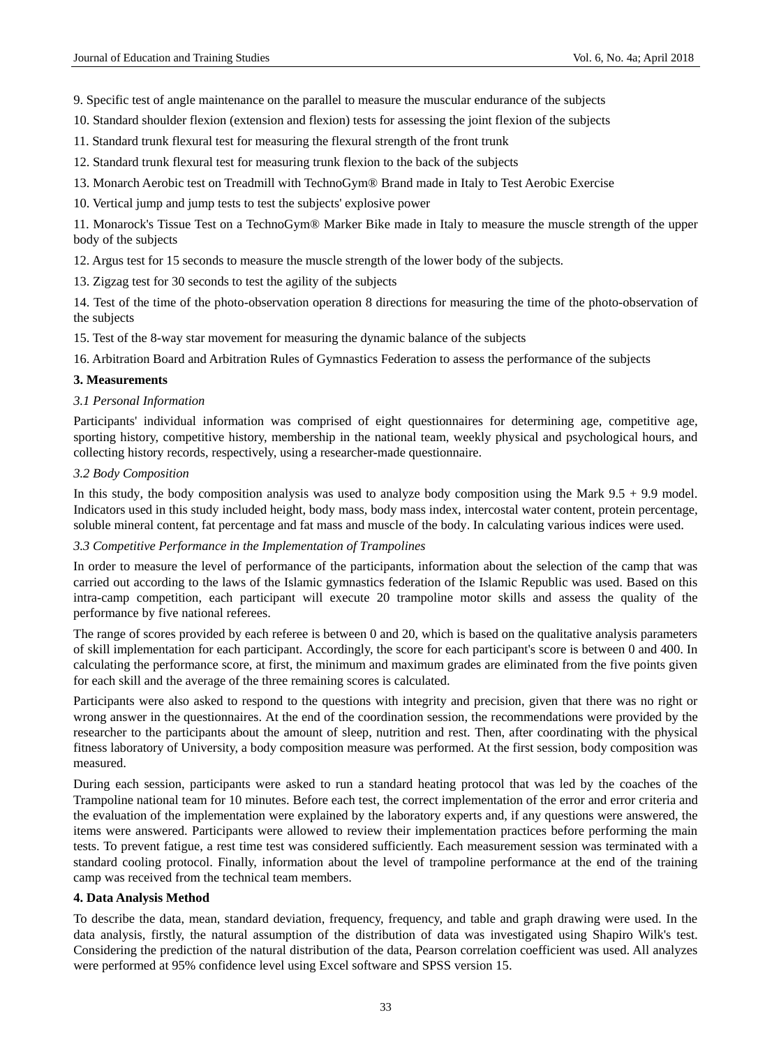9. Specific test of angle maintenance on the parallel to measure the muscular endurance of the subjects

- 10. Standard shoulder flexion (extension and flexion) tests for assessing the joint flexion of the subjects
- 11. Standard trunk flexural test for measuring the flexural strength of the front trunk
- 12. Standard trunk flexural test for measuring trunk flexion to the back of the subjects
- 13. Monarch Aerobic test on Treadmill with TechnoGym® Brand made in Italy to Test Aerobic Exercise
- 10. Vertical jump and jump tests to test the subjects' explosive power

11. Monarock's Tissue Test on a TechnoGym® Marker Bike made in Italy to measure the muscle strength of the upper body of the subjects

12. Argus test for 15 seconds to measure the muscle strength of the lower body of the subjects.

13. Zigzag test for 30 seconds to test the agility of the subjects

14. Test of the time of the photo-observation operation 8 directions for measuring the time of the photo-observation of the subjects

15. Test of the 8-way star movement for measuring the dynamic balance of the subjects

16. Arbitration Board and Arbitration Rules of Gymnastics Federation to assess the performance of the subjects

## **3. Measurements**

## *3.1 Personal Information*

Participants' individual information was comprised of eight questionnaires for determining age, competitive age, sporting history, competitive history, membership in the national team, weekly physical and psychological hours, and collecting history records, respectively, using a researcher-made questionnaire.

## *3.2 Body Composition*

In this study, the body composition analysis was used to analyze body composition using the Mark 9.5 + 9.9 model. Indicators used in this study included height, body mass, body mass index, intercostal water content, protein percentage, soluble mineral content, fat percentage and fat mass and muscle of the body. In calculating various indices were used.

## *3.3 Competitive Performance in the Implementation of Trampolines*

In order to measure the level of performance of the participants, information about the selection of the camp that was carried out according to the laws of the Islamic gymnastics federation of the Islamic Republic was used. Based on this intra-camp competition, each participant will execute 20 trampoline motor skills and assess the quality of the performance by five national referees.

The range of scores provided by each referee is between 0 and 20, which is based on the qualitative analysis parameters of skill implementation for each participant. Accordingly, the score for each participant's score is between 0 and 400. In calculating the performance score, at first, the minimum and maximum grades are eliminated from the five points given for each skill and the average of the three remaining scores is calculated.

Participants were also asked to respond to the questions with integrity and precision, given that there was no right or wrong answer in the questionnaires. At the end of the coordination session, the recommendations were provided by the researcher to the participants about the amount of sleep, nutrition and rest. Then, after coordinating with the physical fitness laboratory of University, a body composition measure was performed. At the first session, body composition was measured.

During each session, participants were asked to run a standard heating protocol that was led by the coaches of the Trampoline national team for 10 minutes. Before each test, the correct implementation of the error and error criteria and the evaluation of the implementation were explained by the laboratory experts and, if any questions were answered, the items were answered. Participants were allowed to review their implementation practices before performing the main tests. To prevent fatigue, a rest time test was considered sufficiently. Each measurement session was terminated with a standard cooling protocol. Finally, information about the level of trampoline performance at the end of the training camp was received from the technical team members.

# **4. Data Analysis Method**

To describe the data, mean, standard deviation, frequency, frequency, and table and graph drawing were used. In the data analysis, firstly, the natural assumption of the distribution of data was investigated using Shapiro Wilk's test. Considering the prediction of the natural distribution of the data, Pearson correlation coefficient was used. All analyzes were performed at 95% confidence level using Excel software and SPSS version 15.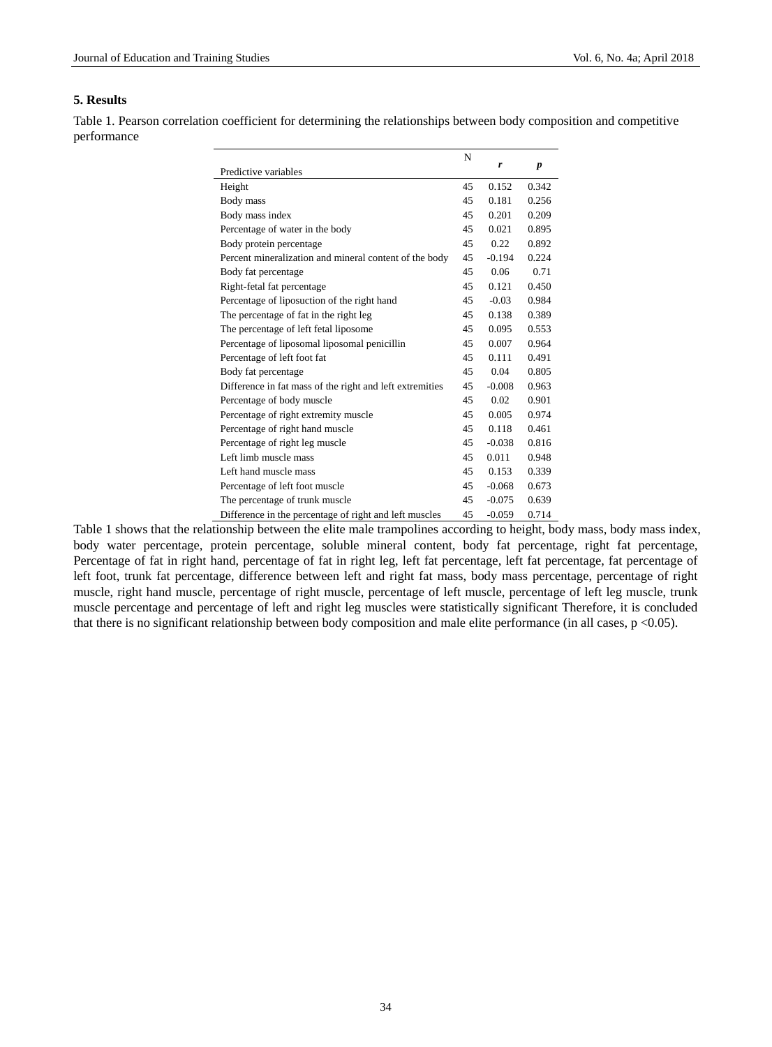# **5. Results**

Table 1. Pearson correlation coefficient for determining the relationships between body composition and competitive performance

|                                                          | N  |          |                  |
|----------------------------------------------------------|----|----------|------------------|
| Predictive variables                                     |    | r        | $\boldsymbol{p}$ |
| Height                                                   | 45 | 0.152    | 0.342            |
| Body mass                                                | 45 | 0.181    | 0.256            |
| Body mass index                                          | 45 | 0.201    | 0.209            |
| Percentage of water in the body                          | 45 | 0.021    | 0.895            |
| Body protein percentage                                  | 45 | 0.22     | 0.892            |
| Percent mineralization and mineral content of the body   | 45 | $-0.194$ | 0.224            |
| Body fat percentage                                      | 45 | 0.06     | 0.71             |
| Right-fetal fat percentage                               | 45 | 0.121    | 0.450            |
| Percentage of liposuction of the right hand              | 45 | $-0.03$  | 0.984            |
| The percentage of fat in the right leg                   | 45 | 0.138    | 0.389            |
| The percentage of left fetal liposome                    | 45 | 0.095    | 0.553            |
| Percentage of liposomal liposomal penicillin             | 45 | 0.007    | 0.964            |
| Percentage of left foot fat                              | 45 | 0.111    | 0.491            |
| Body fat percentage                                      | 45 | 0.04     | 0.805            |
| Difference in fat mass of the right and left extremities | 45 | $-0.008$ | 0.963            |
| Percentage of body muscle                                | 45 | 0.02     | 0.901            |
| Percentage of right extremity muscle                     | 45 | 0.005    | 0.974            |
| Percentage of right hand muscle                          | 45 | 0.118    | 0.461            |
| Percentage of right leg muscle                           | 45 | $-0.038$ | 0.816            |
| Left limb muscle mass                                    | 45 | 0.011    | 0.948            |
| Left hand muscle mass                                    | 45 | 0.153    | 0.339            |
| Percentage of left foot muscle                           | 45 | $-0.068$ | 0.673            |
| The percentage of trunk muscle                           | 45 | $-0.075$ | 0.639            |
| Difference in the percentage of right and left muscles   | 45 | $-0.059$ | 0.714            |

Table 1 shows that the relationship between the elite male trampolines according to height, body mass, body mass index, body water percentage, protein percentage, soluble mineral content, body fat percentage, right fat percentage, Percentage of fat in right hand, percentage of fat in right leg, left fat percentage, left fat percentage, fat percentage of left foot, trunk fat percentage, difference between left and right fat mass, body mass percentage, percentage of right muscle, right hand muscle, percentage of right muscle, percentage of left muscle, percentage of left leg muscle, trunk muscle percentage and percentage of left and right leg muscles were statistically significant Therefore, it is concluded that there is no significant relationship between body composition and male elite performance (in all cases, p <0.05).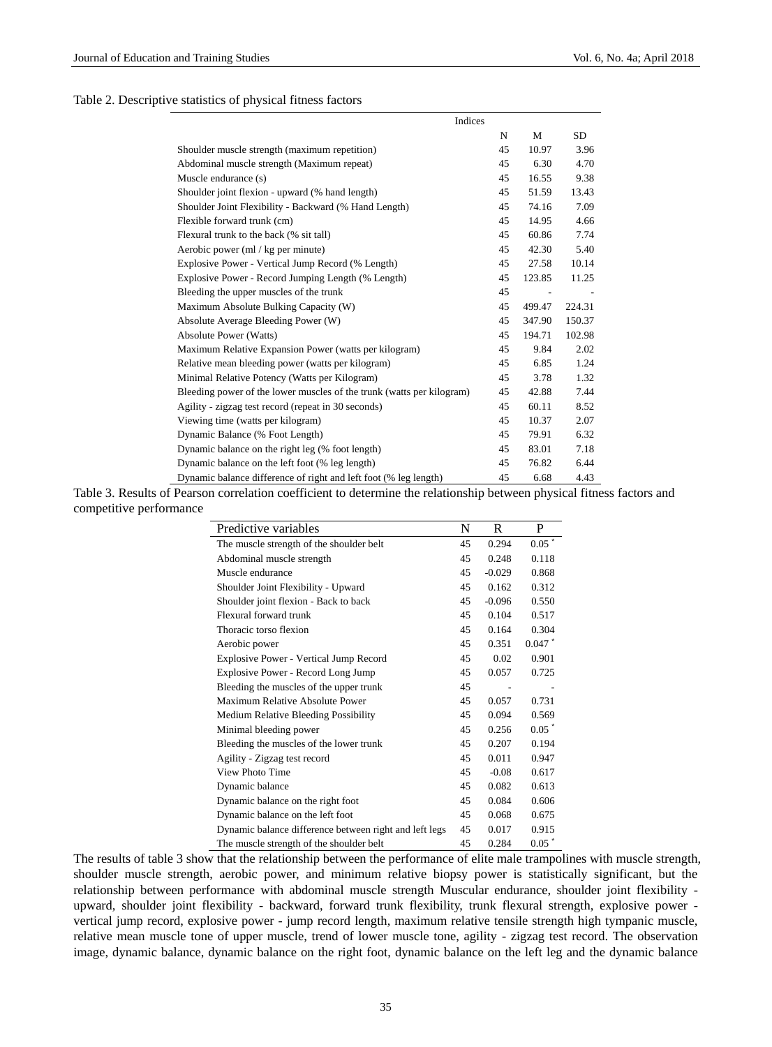### Table 2. Descriptive statistics of physical fitness factors

| Indices                                                               |    |        |        |
|-----------------------------------------------------------------------|----|--------|--------|
|                                                                       | N  | М      | SD.    |
| Shoulder muscle strength (maximum repetition)                         | 45 | 10.97  | 3.96   |
| Abdominal muscle strength (Maximum repeat)                            | 45 | 6.30   | 4.70   |
| Muscle endurance (s)                                                  | 45 | 16.55  | 9.38   |
| Shoulder joint flexion - upward (% hand length)                       | 45 | 51.59  | 13.43  |
| Shoulder Joint Flexibility - Backward (% Hand Length)                 | 45 | 74.16  | 7.09   |
| Flexible forward trunk (cm)                                           | 45 | 14.95  | 4.66   |
| Flexural trunk to the back (% sit tall)                               | 45 | 60.86  | 7.74   |
| Aerobic power (ml / $kg$ per minute)                                  | 45 | 42.30  | 5.40   |
| Explosive Power - Vertical Jump Record (% Length)                     | 45 | 27.58  | 10.14  |
| Explosive Power - Record Jumping Length (% Length)                    | 45 | 123.85 | 11.25  |
| Bleeding the upper muscles of the trunk                               | 45 |        |        |
| Maximum Absolute Bulking Capacity (W)                                 | 45 | 499.47 | 224.31 |
| Absolute Average Bleeding Power (W)                                   | 45 | 347.90 | 150.37 |
| <b>Absolute Power (Watts)</b>                                         | 45 | 194.71 | 102.98 |
| Maximum Relative Expansion Power (watts per kilogram)                 | 45 | 9.84   | 2.02   |
| Relative mean bleeding power (watts per kilogram)                     | 45 | 6.85   | 1.24   |
| Minimal Relative Potency (Watts per Kilogram)                         | 45 | 3.78   | 1.32   |
| Bleeding power of the lower muscles of the trunk (watts per kilogram) | 45 | 42.88  | 7.44   |
| Agility - zigzag test record (repeat in 30 seconds)                   | 45 | 60.11  | 8.52   |
| Viewing time (watts per kilogram)                                     | 45 | 10.37  | 2.07   |
| Dynamic Balance (% Foot Length)                                       | 45 | 79.91  | 6.32   |
| Dynamic balance on the right leg (% foot length)                      | 45 | 83.01  | 7.18   |
| Dynamic balance on the left foot (% leg length)                       | 45 | 76.82  | 6.44   |
| Dynamic balance difference of right and left foot (% leg length)      | 45 | 6.68   | 4.43   |

Table 3. Results of Pearson correlation coefficient to determine the relationship between physical fitness factors and competitive performance

| Predictive variables                                   | N  | R        | P                |
|--------------------------------------------------------|----|----------|------------------|
| The muscle strength of the shoulder belt               | 45 | 0.294    | $0.05$ $^{\ast}$ |
| Abdominal muscle strength                              | 45 | 0.248    | 0.118            |
| Muscle endurance                                       | 45 | $-0.029$ | 0.868            |
| Shoulder Joint Flexibility - Upward                    | 45 | 0.162    | 0.312            |
| Shoulder joint flexion - Back to back                  | 45 | $-0.096$ | 0.550            |
| Flexural forward trunk                                 | 45 | 0.104    | 0.517            |
| Thoracic torso flexion                                 | 45 | 0.164    | 0.304            |
| Aerobic power                                          | 45 | 0.351    | 0.047            |
| <b>Explosive Power - Vertical Jump Record</b>          | 45 | 0.02     | 0.901            |
| Explosive Power - Record Long Jump                     | 45 | 0.057    | 0.725            |
| Bleeding the muscles of the upper trunk                | 45 |          |                  |
| Maximum Relative Absolute Power                        | 45 | 0.057    | 0.731            |
| Medium Relative Bleeding Possibility                   | 45 | 0.094    | 0.569            |
| Minimal bleeding power                                 | 45 | 0.256    | 0.05             |
| Bleeding the muscles of the lower trunk                | 45 | 0.207    | 0.194            |
| Agility - Zigzag test record                           | 45 | 0.011    | 0.947            |
| View Photo Time                                        | 45 | $-0.08$  | 0.617            |
| Dynamic balance                                        | 45 | 0.082    | 0.613            |
| Dynamic balance on the right foot                      | 45 | 0.084    | 0.606            |
| Dynamic balance on the left foot                       | 45 | 0.068    | 0.675            |
| Dynamic balance difference between right and left legs | 45 | 0.017    | 0.915            |
| The muscle strength of the shoulder belt               | 45 | 0.284    | 0.05             |

The results of table 3 show that the relationship between the performance of elite male trampolines with muscle strength, shoulder muscle strength, aerobic power, and minimum relative biopsy power is statistically significant, but the relationship between performance with abdominal muscle strength Muscular endurance, shoulder joint flexibility upward, shoulder joint flexibility - backward, forward trunk flexibility, trunk flexural strength, explosive power vertical jump record, explosive power - jump record length, maximum relative tensile strength high tympanic muscle, relative mean muscle tone of upper muscle, trend of lower muscle tone, agility - zigzag test record. The observation image, dynamic balance, dynamic balance on the right foot, dynamic balance on the left leg and the dynamic balance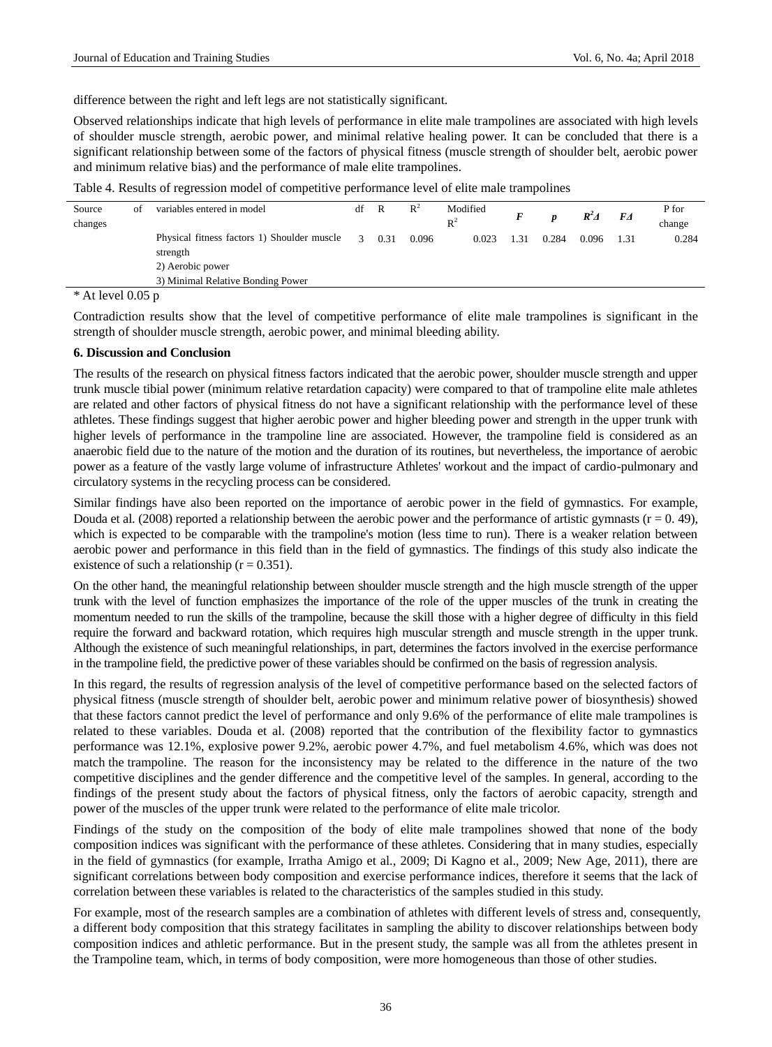difference between the right and left legs are not statistically significant.

Observed relationships indicate that high levels of performance in elite male trampolines are associated with high levels of shoulder muscle strength, aerobic power, and minimal relative healing power. It can be concluded that there is a significant relationship between some of the factors of physical fitness (muscle strength of shoulder belt, aerobic power and minimum relative bias) and the performance of male elite trampolines.

Table 4. Results of regression model of competitive performance level of elite male trampolines

| Source<br>changes   | οf | variables entered in model                              | df            | R    | $\mathbb{R}^2$ | Modified<br>$R^2$ |      | D     | $R^2\Delta$ | FA   | P for<br>change |
|---------------------|----|---------------------------------------------------------|---------------|------|----------------|-------------------|------|-------|-------------|------|-----------------|
|                     |    | Physical fitness factors 1) Shoulder muscle<br>strength | $\mathcal{R}$ | 0.31 | 0.096          | 0.023             | l.31 | 0.284 | 0.096       | 1.31 | 0.284           |
|                     |    | 2) Aerobic power                                        |               |      |                |                   |      |       |             |      |                 |
|                     |    | 3) Minimal Relative Bonding Power                       |               |      |                |                   |      |       |             |      |                 |
| $*$ At level 0.05 n |    |                                                         |               |      |                |                   |      |       |             |      |                 |

At level  $0.05$  p

Contradiction results show that the level of competitive performance of elite male trampolines is significant in the strength of shoulder muscle strength, aerobic power, and minimal bleeding ability.

### **6. Discussion and Conclusion**

The results of the research on physical fitness factors indicated that the aerobic power, shoulder muscle strength and upper trunk muscle tibial power (minimum relative retardation capacity) were compared to that of trampoline elite male athletes are related and other factors of physical fitness do not have a significant relationship with the performance level of these athletes. These findings suggest that higher aerobic power and higher bleeding power and strength in the upper trunk with higher levels of performance in the trampoline line are associated. However, the trampoline field is considered as an anaerobic field due to the nature of the motion and the duration of its routines, but nevertheless, the importance of aerobic power as a feature of the vastly large volume of infrastructure Athletes' workout and the impact of cardio-pulmonary and circulatory systems in the recycling process can be considered.

Similar findings have also been reported on the importance of aerobic power in the field of gymnastics. For example, Douda et al. (2008) reported a relationship between the aerobic power and the performance of artistic gymnasts ( $r = 0.49$ ), which is expected to be comparable with the trampoline's motion (less time to run). There is a weaker relation between aerobic power and performance in this field than in the field of gymnastics. The findings of this study also indicate the existence of such a relationship  $(r = 0.351)$ .

On the other hand, the meaningful relationship between shoulder muscle strength and the high muscle strength of the upper trunk with the level of function emphasizes the importance of the role of the upper muscles of the trunk in creating the momentum needed to run the skills of the trampoline, because the skill those with a higher degree of difficulty in this field require the forward and backward rotation, which requires high muscular strength and muscle strength in the upper trunk. Although the existence of such meaningful relationships, in part, determines the factors involved in the exercise performance in the trampoline field, the predictive power of these variables should be confirmed on the basis of regression analysis.

In this regard, the results of regression analysis of the level of competitive performance based on the selected factors of physical fitness (muscle strength of shoulder belt, aerobic power and minimum relative power of biosynthesis) showed that these factors cannot predict the level of performance and only 9.6% of the performance of elite male trampolines is related to these variables. Douda et al. (2008) reported that the contribution of the flexibility factor to gymnastics performance was 12.1%, explosive power 9.2%, aerobic power 4.7%, and fuel metabolism 4.6%, which was does not match the trampoline. The reason for the inconsistency may be related to the difference in the nature of the two competitive disciplines and the gender difference and the competitive level of the samples. In general, according to the findings of the present study about the factors of physical fitness, only the factors of aerobic capacity, strength and power of the muscles of the upper trunk were related to the performance of elite male tricolor.

Findings of the study on the composition of the body of elite male trampolines showed that none of the body composition indices was significant with the performance of these athletes. Considering that in many studies, especially in the field of gymnastics (for example, Irratha Amigo et al., 2009; Di Kagno et al., 2009; New Age, 2011), there are significant correlations between body composition and exercise performance indices, therefore it seems that the lack of correlation between these variables is related to the characteristics of the samples studied in this study.

For example, most of the research samples are a combination of athletes with different levels of stress and, consequently, a different body composition that this strategy facilitates in sampling the ability to discover relationships between body composition indices and athletic performance. But in the present study, the sample was all from the athletes present in the Trampoline team, which, in terms of body composition, were more homogeneous than those of other studies.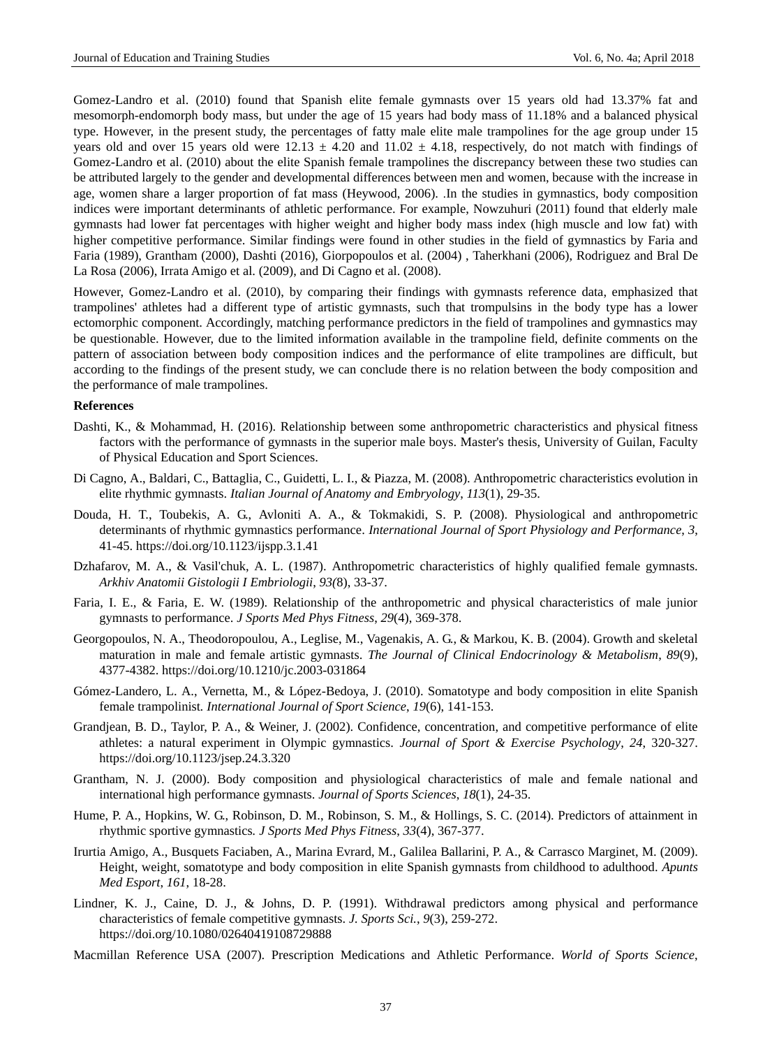Gomez-Landro et al. (2010) found that Spanish elite female gymnasts over 15 years old had 13.37% fat and mesomorph-endomorph body mass, but under the age of 15 years had body mass of 11.18% and a balanced physical type. However, in the present study, the percentages of fatty male elite male trampolines for the age group under 15 years old and over 15 years old were  $12.13 \pm 4.20$  and  $11.02 \pm 4.18$ , respectively, do not match with findings of Gomez-Landro et al. (2010) about the elite Spanish female trampolines the discrepancy between these two studies can be attributed largely to the gender and developmental differences between men and women, because with the increase in age, women share a larger proportion of fat mass (Heywood, 2006). .In the studies in gymnastics, body composition indices were important determinants of athletic performance. For example, Nowzuhuri (2011) found that elderly male gymnasts had lower fat percentages with higher weight and higher body mass index (high muscle and low fat) with higher competitive performance. Similar findings were found in other studies in the field of gymnastics by Faria and Faria (1989), Grantham (2000), Dashti (2016), Giorpopoulos et al. (2004) , Taherkhani (2006), Rodriguez and Bral De La Rosa (2006), Irrata Amigo et al. (2009), and Di Cagno et al. (2008).

However, Gomez-Landro et al. (2010), by comparing their findings with gymnasts reference data, emphasized that trampolines' athletes had a different type of artistic gymnasts, such that trompulsins in the body type has a lower ectomorphic component. Accordingly, matching performance predictors in the field of trampolines and gymnastics may be questionable. However, due to the limited information available in the trampoline field, definite comments on the pattern of association between body composition indices and the performance of elite trampolines are difficult, but according to the findings of the present study, we can conclude there is no relation between the body composition and the performance of male trampolines.

### **References**

- Dashti, K., & Mohammad, H. (2016). Relationship between some anthropometric characteristics and physical fitness factors with the performance of gymnasts in the superior male boys. Master's thesis, University of Guilan, Faculty of Physical Education and Sport Sciences.
- Di Cagno, A., Baldari, C., Battaglia, C., Guidetti, L. I., & Piazza, M. (2008). Anthropometric characteristics evolution in elite rhythmic gymnasts. *Italian Journal of Anatomy and Embryology*, *113*(1), 29-35.
- Douda, H. T., Toubekis, A. G., Avloniti A. A., & Tokmakidi, S. P. (2008). Physiological and anthropometric determinants of rhythmic gymnastics performance. *International Journal of Sport Physiology and Performance*, *3*, 41-45.<https://doi.org/10.1123/ijspp.3.1.41>
- Dzhafarov, M. A., & Vasil'chuk, A. L. (1987). Anthropometric characteristics of highly qualified female gymnasts. *Arkhiv Anatomii Gistologii I Embriologii*, *93(*8), 33-37.
- Faria, I. E., & Faria, E. W. (1989). Relationship of the anthropometric and physical characteristics of male junior gymnasts to performance. *J Sports Med Phys Fitness*, *29*(4), 369-378.
- Georgopoulos, N. A., Theodoropoulou, A., Leglise, M., Vagenakis, A. G., & Markou, K. B. (2004). Growth and skeletal maturation in male and female artistic gymnasts. *The Journal of Clinical Endocrinology & Metabolism*, *89*(9), 4377-4382.<https://doi.org/10.1210/jc.2003-031864>
- Gómez-Landero, L. A., Vernetta, M., & López-Bedoya, J. (2010). Somatotype and body composition in elite Spanish female trampolinist*. International Journal of Sport Science*, *19*(6), 141-153.
- Grandjean, B. D., Taylor, P. A., & Weiner, J. (2002). Confidence, concentration, and competitive performance of elite athletes: a natural experiment in Olympic gymnastics. *Journal of Sport & Exercise Psychology*, *24*, 320-327. <https://doi.org/10.1123/jsep.24.3.320>
- Grantham, N. J. (2000). Body composition and physiological characteristics of male and female national and international high performance gymnasts. *Journal of Sports Sciences*, *18*(1), 24-35.
- Hume, P. A., Hopkins, W. G., Robinson, D. M., Robinson, S. M., & Hollings, S. C. (2014). Predictors of attainment in rhythmic sportive gymnastics*. J Sports Med Phys Fitness*, *33*(4), 367-377.
- Irurtia Amigo, A., Busquets Faciaben, A., Marina Evrard, M., Galilea Ballarini, P. A., & Carrasco Marginet, M. (2009). Height, weight, somatotype and body composition in elite Spanish gymnasts from childhood to adulthood. *Apunts Med Esport*, *161*, 18-28.
- Lindner, K. J., Caine, D. J., & Johns, D. P. (1991). Withdrawal predictors among physical and performance characteristics of female competitive gymnasts. *J. Sports Sci.*, *9*(3), 259-272. <https://doi.org/10.1080/02640419108729888>
- Macmillan Reference USA (2007). Prescription Medications and Athletic Performance. *World of Sports Science*,